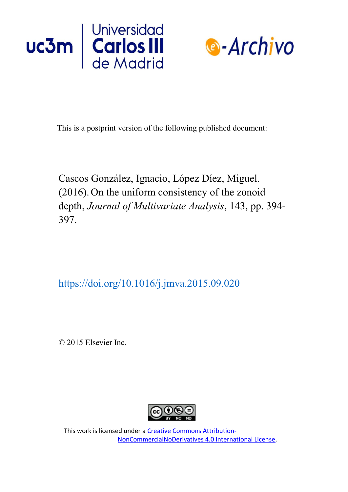



This is a postprint version of the following published document:

Cascos González, Ignacio, López Díez, Miguel. (2016).On the uniform consistency of the zonoid depth, *Journal of Multivariate Analysis*, 143, pp. 394- 397.

<https://doi.org/10.1016/j.jmva.2015.09.020>

© 2015 Elsevier Inc.



This work is licensed under a Creative Commons Attribution-NonCommercialNoDerivatives 4.0 International License.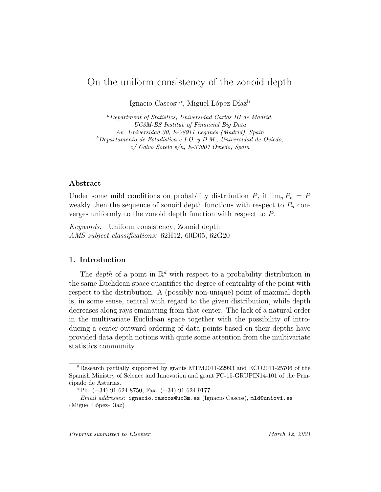# On the uniform consistency of the zonoid depth

Ignacio Cascos<sup>a,∗</sup>, Miguel López-Díaz<sup>b</sup>

<sup>a</sup>Department of Statistics, Universidad Carlos III de Madrid, UC3M-BS Institue of Financial Big Data Av. Universidad 30, E-28911 Leganés (Madrid), Spain  ${}^b$ Departamento de Estadística e I.O. y D.M., Universidad de Oviedo, c/ Calvo Sotelo s/n, E-33007 Oviedo, Spain

## Abstract

Under some mild conditions on probability distribution P, if  $\lim_{n} P_n = P$ weakly then the sequence of zonoid depth functions with respect to  $P_n$  converges uniformly to the zonoid depth function with respect to P.

Keywords: Uniform consistency, Zonoid depth AMS subject classifications: 62H12, 60D05, 62G20

## 1. Introduction

The *depth* of a point in  $\mathbb{R}^d$  with respect to a probability distribution in the same Euclidean space quantifies the degree of centrality of the point with respect to the distribution. A (possibly non-unique) point of maximal depth is, in some sense, central with regard to the given distribution, while depth decreases along rays emanating from that center. The lack of a natural order in the multivariate Euclidean space together with the possibility of introducing a center-outward ordering of data points based on their depths have provided data depth notions with quite some attention from the multivariate statistics community.

 $\hat{\tau}$ Research partially supported by grants MTM2011-22993 and ECO2011-25706 of the Spanish Ministry of Science and Innovation and grant FC-15-GRUPIN14-101 of the Principado de Asturias.

 $*Ph.$  (+34) 91 624 8750, Fax: (+34) 91 624 9177

Email addresses: ignacio.cascos@uc3m.es (Ignacio Cascos), mld@uniovi.es  $(Miquel López-Díaz)$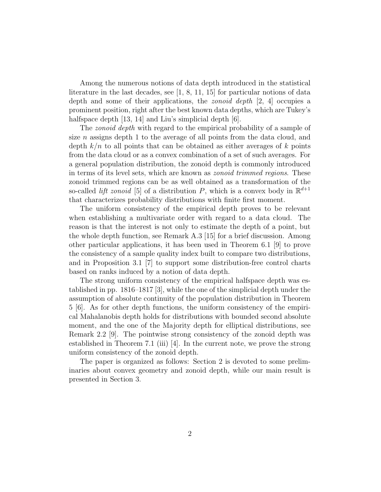Among the numerous notions of data depth introduced in the statistical literature in the last decades, see [1, 8, 11, 15] for particular notions of data depth and some of their applications, the *zonoid depth* [2, 4] occupies a prominent position, right after the best known data depths, which are Tukey's halfspace depth [13, 14] and Liu's simplicial depth [6].

The *zonoid depth* with regard to the empirical probability of a sample of size *n* assigns depth 1 to the average of all points from the data cloud, and depth  $k/n$  to all points that can be obtained as either averages of k points from the data cloud or as a convex combination of a set of such averages. For a general population distribution, the zonoid depth is commonly introduced in terms of its level sets, which are known as *zonoid trimmed regions*. These zonoid trimmed regions can be as well obtained as a transformation of the so-called *lift zonoid* [5] of a distribution P, which is a convex body in  $\mathbb{R}^{d+1}$ that characterizes probability distributions with finite first moment.

The uniform consistency of the empirical depth proves to be relevant when establishing a multivariate order with regard to a data cloud. The reason is that the interest is not only to estimate the depth of a point, but the whole depth function, see Remark A.3 [15] for a brief discussion. Among other particular applications, it has been used in Theorem 6.1 [9] to prove the consistency of a sample quality index built to compare two distributions, and in Proposition 3.1 [7] to support some distribution-free control charts based on ranks induced by a notion of data depth.

The strong uniform consistency of the empirical halfspace depth was established in pp. 1816–1817 [3], while the one of the simplicial depth under the assumption of absolute continuity of the population distribution in Theorem 5 [6]. As for other depth functions, the uniform consistency of the empirical Mahalanobis depth holds for distributions with bounded second absolute moment, and the one of the Majority depth for elliptical distributions, see Remark 2.2 [9]. The pointwise strong consistency of the zonoid depth was established in Theorem 7.1 (iii) [4]. In the current note, we prove the strong uniform consistency of the zonoid depth.

The paper is organized as follows: Section 2 is devoted to some preliminaries about convex geometry and zonoid depth, while our main result is presented in Section 3.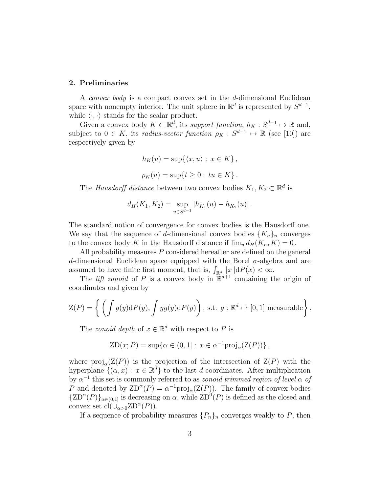#### 2. Preliminaries

A *convex body* is a compact convex set in the d-dimensional Euclidean space with nonempty interior. The unit sphere in  $\mathbb{R}^d$  is represented by  $S^{d-1}$ , while  $\langle \cdot, \cdot \rangle$  stands for the scalar product.

Given a convex body  $K \subset \mathbb{R}^d$ , its support function,  $h_K : S^{d-1} \mapsto \mathbb{R}$  and, subject to  $0 \in K$ , its *radius-vector function*  $\rho_K : S^{d-1} \to \mathbb{R}$  (see [10]) are respectively given by

$$
h_K(u) = \sup\{\langle x, u \rangle : x \in K\},\
$$
  

$$
\rho_K(u) = \sup\{t \ge 0 : tu \in K\}.
$$

The Hausdorff distance between two convex bodies  $K_1, K_2 \subset \mathbb{R}^d$  is

$$
d_H(K_1, K_2) = \sup_{u \in S^{d-1}} |h_{K_1}(u) - h_{K_2}(u)|.
$$

The standard notion of convergence for convex bodies is the Hausdorff one. We say that the sequence of d-dimensional convex bodies  $\{K_n\}_n$  converges to the convex body K in the Hausdorff distance if  $\lim_{n} d_H(K_n, K) = 0$ .

All probability measures P considered hereafter are defined on the general d-dimensional Euclidean space equipped with the Borel  $\sigma$ -algebra and are assumed to have finite first moment, that is,  $\int_{\mathbb{R}^d} ||x|| dP(x) < \infty$ .

The *lift zonoid* of P is a convex body in  $\mathbb{R}^{d+1}$  containing the origin of coordinates and given by

$$
Z(P) = \left\{ \left( \int g(y) dP(y), \int yg(y) dP(y) \right), \text{ s.t. } g: \mathbb{R}^d \mapsto [0,1] \text{ measurable} \right\}.
$$

The *zonoid depth* of  $x \in \mathbb{R}^d$  with respect to P is

$$
ZD(x;P) = \sup \{ \alpha \in (0,1] : x \in \alpha^{-1} \text{proj}_{\alpha}(Z(P)) \},
$$

where  $\text{proj}_{\alpha}(Z(P))$  is the projection of the intersection of  $Z(P)$  with the hyperplane  $\{(\alpha, x) : x \in \mathbb{R}^d\}$  to the last d coordinates. After multiplication by  $\alpha^{-1}$  this set is commonly referred to as *zonoid trimmed region of level*  $\alpha$  of P and denoted by  $\text{ZD}^{\alpha}(P) = \alpha^{-1} \text{proj}_{\alpha}(\text{Z}(P))$ . The family of convex bodies  $\{ZD^{\alpha}(P)\}_{{\alpha}\in(0,1]}$  is decreasing on  $\alpha$ , while  $ZD^{0}(P)$  is defined as the closed and convex set  $cl(\bigcup_{\alpha>0}ZD^{\alpha}(P)).$ 

If a sequence of probability measures  $\{P_n\}_n$  converges weakly to P, then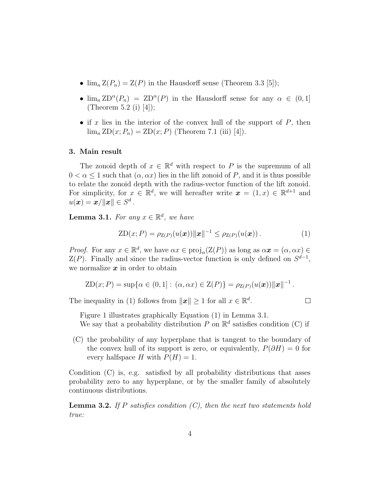- $\lim_{n} Z(P_n) = Z(P)$  in the Hausdorff sense (Theorem 3.3 [5]);
- $\lim_{n} \text{ZD}^{\alpha}(P_n) = \text{ZD}^{\alpha}(P)$  in the Hausdorff sense for any  $\alpha \in (0,1]$ (Theorem 5.2 (i) [4]);
- if x lies in the interior of the convex hull of the support of  $P$ , then  $\lim_{n} ZD(x; P_n) = ZD(x; P)$  (Theorem 7.1 (iii) [4]).

## 3. Main result

The zonoid depth of  $x \in \mathbb{R}^d$  with respect to P is the supremum of all  $0 < \alpha < 1$  such that  $(\alpha, \alpha x)$  lies in the lift zonoid of P, and it is thus possible to relate the zonoid depth with the radius-vector function of the lift zonoid. For simplicity, for  $x \in \mathbb{R}^d$ , we will hereafter write  $\boldsymbol{x} = (1, x) \in \mathbb{R}^{d+1}$  and  $u(\boldsymbol{x}) = \boldsymbol{x}/\|\boldsymbol{x}\| \in S^d$  .

**Lemma 3.1.** For any  $x \in \mathbb{R}^d$ , we have

$$
ZD(x;P) = \rho_{Z(P)}(u(\boldsymbol{x})) ||\boldsymbol{x}||^{-1} \leq \rho_{Z(P)}(u(\boldsymbol{x})). \tag{1}
$$

*Proof.* For any  $x \in \mathbb{R}^d$ , we have  $\alpha x \in \text{proj}_{\alpha}(\mathcal{Z}(P))$  as long as  $\alpha x = (\alpha, \alpha x) \in$  $Z(P)$ . Finally and since the radius-vector function is only defined on  $S^{d-1}$ , we normalize  $x$  in order to obtain

$$
ZD(x; P) = \sup \{ \alpha \in (0, 1] : (\alpha, \alpha x) \in Z(P) \} = \rho_{Z(P)}(u(\boldsymbol{x})) ||\boldsymbol{x}||^{-1}.
$$

The inequality in (1) follows from  $||x|| \geq 1$  for all  $x \in \mathbb{R}^d$ .

$$
\Box
$$

Figure 1 illustrates graphically Equation (1) in Lemma 3.1.

We say that a probability distribution P on  $\mathbb{R}^d$  satisfies condition (C) if

(C) the probability of any hyperplane that is tangent to the boundary of the convex hull of its support is zero, or equivalently,  $P(\partial H) = 0$  for every halfspace H with  $P(H) = 1$ .

Condition (C) is, e.g. satisfied by all probability distributions that asses probability zero to any hyperplane, or by the smaller family of absolutely continuous distributions.

**Lemma 3.2.** If P satisfies condition  $(C)$ , then the next two statements hold true: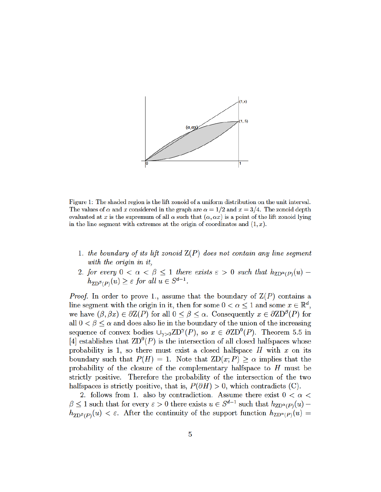

Figure 1: The shaded region is the lift zonoid of a uniform distribution on the unit interval. The values of  $\alpha$  and x considered in the graph are  $\alpha = 1/2$  and  $x = 3/4$ . The zonoid depth evaluated at x is the supremum of all  $\alpha$  such that  $(\alpha, \alpha x)$  is a point of the lift zonoid lying in the line segment with extremes at the origin of coordinates and  $(1, x)$ .

- 1. the boundary of its lift zonoid  $Z(P)$  does not contain any line segment with the origin in it,
- 2. for every  $0 < \alpha < \beta \leq 1$  there exists  $\varepsilon > 0$  such that  $h_{\text{ZD}^{\alpha}(P)}(u)$  $\sum_{Z \in \mathcal{P}}^{\beta}(P)}(u) \geq \varepsilon$  for all

*Proof.* In order to prove 1., assume that the boundary of  $\mathcal{Z}(P)$  contains a line segment with the origin in it, then for some  $0 < \alpha < 1$  and some  $x \in \mathbb{R}^d$ , we have  $(\beta, \beta x) \in \partial Z(P)$  for all  $0 \leq \beta \leq \alpha$ . Consequently  $x \in \partial ZD^{\beta}(P)$  for all  $0 < \beta \leq \alpha$  and does also lie in the boundary of the union of the increasing sequence of convex bodies  $\cup_{\gamma>0} \text{ZD}^{\gamma}(P)$ , so  $x \in \partial \text{ZD}^0(P)$ . Theorem 5.5 in [4] establishes that  $\mathbb{Z}D^0(P)$  is the intersection of all closed halfspaces whose probability is 1, so there must exist a closed halfspace  $H$  with  $x$  on its boundary such that  $P(H) = 1$ . Note that  $ZD(x; P) \ge \alpha$  implies that the probability of the closure of the complementary halfspace to  $H$  must be strictly positive. Therefore the probability of the intersection of the two halfspaces is strictly positive, that is,  $P(\partial H) > 0$ , which contradicts (C).

2. follows from 1. also by contradiction. Assume there exist  $0 < \alpha <$  $\beta \leq 1$  such that for every  $\varepsilon > 0$  there exists  $u \in S^{d-1}$  such that  $h_{\text{ZD}^{\alpha}(P)}(u)$  $\sum_{Z \in \mathcal{B}(P)}(u) < \varepsilon$ . After the continuity of the support function  $h_{Z D^{\alpha}(P)}(u) =$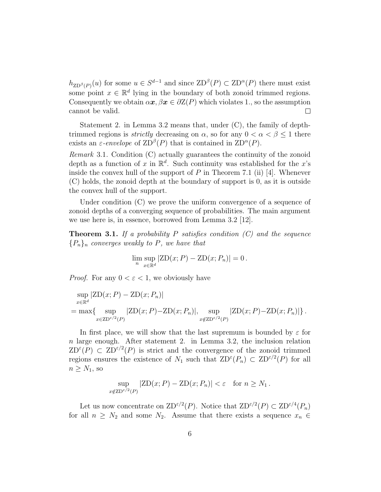$h_{\text{ZD}^{\beta}(P)}(u)$  for some  $u \in S^{d-1}$  and since  $\text{ZD}^{\beta}(P) \subset \text{ZD}^{\alpha}(P)$  there must exist some point  $x \in \mathbb{R}^d$  lying in the boundary of both zonoid trimmed regions. Consequently we obtain  $\alpha x, \beta x \in \partial Z(P)$  which violates 1., so the assumption cannot be valid.  $\Box$ 

Statement 2. in Lemma 3.2 means that, under (C), the family of depthtrimmed regions is *strictly* decreasing on  $\alpha$ , so for any  $0 < \alpha < \beta \leq 1$  there exists an  $\varepsilon$ -envelope of  $\text{ZD}^{\beta}(P)$  that is contained in  $\text{ZD}^{\alpha}(P)$ .

Remark 3.1. Condition (C) actually guarantees the continuity of the zonoid depth as a function of x in  $\mathbb{R}^d$ . Such continuity was established for the x's inside the convex hull of the support of  $P$  in Theorem 7.1 (ii) [4]. Whenever (C) holds, the zonoid depth at the boundary of support is 0, as it is outside the convex hull of the support.

Under condition (C) we prove the uniform convergence of a sequence of zonoid depths of a converging sequence of probabilities. The main argument we use here is, in essence, borrowed from Lemma 3.2 [12].

**Theorem 3.1.** If a probability P satisfies condition  $(C)$  and the sequence  ${P_n}_n$  converges weakly to P, we have that

$$
\lim_{n} \sup_{x \in \mathbb{R}^d} |ZD(x; P) - ZD(x; P_n)| = 0.
$$

*Proof.* For any  $0 < \varepsilon < 1$ , we obviously have

$$
\sup_{x \in \mathbb{R}^d} |ZD(x; P) - ZD(x; P_n)|
$$
  
= max{ sup  $\underset{x \in \text{ZD}^{\varepsilon/2}(P)}{|ZD(x; P) - ZD(x; P_n)|}$ , sup  $\underset{x \notin \text{ZD}^{\varepsilon/2}(P)}{|ZD(x; P) - ZD(x; P_n)|}$ .

In first place, we will show that the last supremum is bounded by  $\varepsilon$  for  $n$  large enough. After statement 2. in Lemma 3.2, the inclusion relation  $ZD^{\epsilon}(P) \subset ZD^{\epsilon/2}(P)$  is strict and the convergence of the zonoid trimmed regions ensures the existence of  $N_1$  such that  $\text{ZD}^{\varepsilon}(P_n) \subset \text{ZD}^{\varepsilon/2}(P)$  for all  $n \geq N_1$ , so

$$
\sup_{x \notin \text{ZD}^{\varepsilon/2}(P)} |\text{ZD}(x; P) - \text{ZD}(x; P_n)| < \varepsilon \quad \text{for } n \ge N_1 \,.
$$

Let us now concentrate on  $\text{ZD}^{\varepsilon/2}(P)$ . Notice that  $\text{ZD}^{\varepsilon/2}(P) \subset \text{ZD}^{\varepsilon/4}(P_n)$ for all  $n \geq N_2$  and some  $N_2$ . Assume that there exists a sequence  $x_n \in$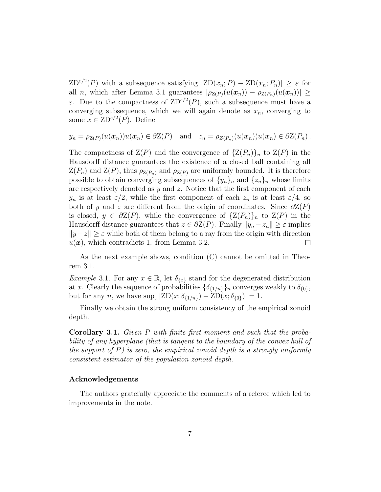$ZD^{\epsilon/2}(P)$  with a subsequence satisfying  $|ZD(x_n; P) - ZD(x_n; P_n)| \geq \epsilon$  for all n, which after Lemma 3.1 guarantees  $|\rho_{Z(P)}(u(\boldsymbol{x}_n)) - \rho_{Z(P_n)}(u(\boldsymbol{x}_n))| \ge$ ε. Due to the compactness of  $ZD^{\epsilon/2}(P)$ , such a subsequence must have a converging subsequence, which we will again denote as  $x_n$ , converging to some  $x \in \text{ZD}^{\varepsilon/2}(P)$ . Define

$$
y_n = \rho_{Z(P)}(u(\boldsymbol{x}_n))u(\boldsymbol{x}_n) \in \partial Z(P)
$$
 and  $z_n = \rho_{Z(P_n)}(u(\boldsymbol{x}_n))u(\boldsymbol{x}_n) \in \partial Z(P_n)$ .

The compactness of  $\mathcal{Z}(P)$  and the convergence of  $\{Z(P_n)\}_n$  to  $Z(P)$  in the Hausdorff distance guarantees the existence of a closed ball containing all  $Z(P_n)$  and  $Z(P)$ , thus  $\rho_{Z(P_n)}$  and  $\rho_{Z(P)}$  are uniformly bounded. It is therefore possible to obtain converging subsequences of  $\{y_n\}_n$  and  $\{z_n\}_n$  whose limits are respectively denoted as  $y$  and  $z$ . Notice that the first component of each  $y_n$  is at least  $\varepsilon/2$ , while the first component of each  $z_n$  is at least  $\varepsilon/4$ , so both of y and z are different from the origin of coordinates. Since  $\partial Z(P)$ is closed,  $y \in \partial Z(P)$ , while the convergence of  $\{Z(P_n)\}_n$  to  $Z(P)$  in the Hausdorff distance guarantees that  $z \in \partial Z(P)$ . Finally  $||y_n - z_n|| \geq \varepsilon$  implies  $||y-z|| \geq \varepsilon$  while both of them belong to a ray from the origin with direction  $u(\boldsymbol{x})$ , which contradicts 1. from Lemma 3.2.  $\Box$ 

As the next example shows, condition (C) cannot be omitted in Theorem 3.1.

*Example* 3.1. For any  $x \in \mathbb{R}$ , let  $\delta_{\{x\}}$  stand for the degenerated distribution at x. Clearly the sequence of probabilities  $\{\delta_{\{1/n\}}\}_n$  converges weakly to  $\delta_{\{0\}},$ but for any *n*, we have  $\sup_x |ZD(x; \delta_{\{1/n\}}) - ZD(x; \delta_{\{0\}})| = 1$ .

Finally we obtain the strong uniform consistency of the empirical zonoid depth.

Corollary 3.1. Given P with finite first moment and such that the probability of any hyperplane (that is tangent to the boundary of the convex hull of the support of  $P$ ) is zero, the empirical zonoid depth is a strongly uniformly consistent estimator of the population zonoid depth.

## Acknowledgements

The authors gratefully appreciate the comments of a referee which led to improvements in the note.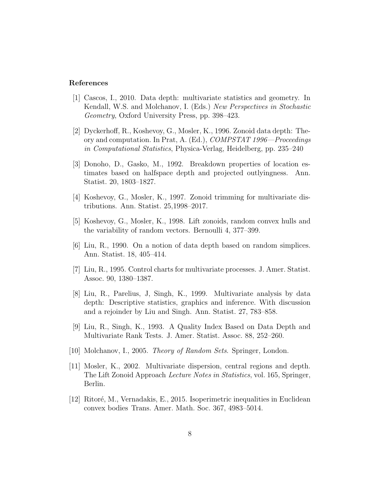## References

- [1] Cascos, I., 2010. Data depth: multivariate statistics and geometry. In Kendall, W.S. and Molchanov, I. (Eds.) New Perspectives in Stochastic Geometry, Oxford University Press, pp. 398–423.
- [2] Dyckerhoff, R., Koshevoy, G., Mosler, K., 1996. Zonoid data depth: Theory and computation. In Prat, A. (Ed.), COMPSTAT 1996—Proceedings in Computational Statistics, Physica-Verlag, Heidelberg, pp. 235–240
- [3] Donoho, D., Gasko, M., 1992. Breakdown properties of location estimates based on halfspace depth and projected outlyingness. Ann. Statist. 20, 1803–1827.
- [4] Koshevoy, G., Mosler, K., 1997. Zonoid trimming for multivariate distributions. Ann. Statist. 25,1998–2017.
- [5] Koshevoy, G., Mosler, K., 1998. Lift zonoids, random convex hulls and the variability of random vectors. Bernoulli 4, 377–399.
- [6] Liu, R., 1990. On a notion of data depth based on random simplices. Ann. Statist. 18, 405–414.
- [7] Liu, R., 1995. Control charts for multivariate processes. J. Amer. Statist. Assoc. 90, 1380–1387.
- [8] Liu, R., Parelius, J, Singh, K., 1999. Multivariate analysis by data depth: Descriptive statistics, graphics and inference. With discussion and a rejoinder by Liu and Singh. Ann. Statist. 27, 783–858.
- [9] Liu, R., Singh, K., 1993. A Quality Index Based on Data Depth and Multivariate Rank Tests. J. Amer. Statist. Assoc. 88, 252–260.
- [10] Molchanov, I., 2005. Theory of Random Sets. Springer, London.
- [11] Mosler, K., 2002. Multivariate dispersion, central regions and depth. The Lift Zonoid Approach Lecture Notes in Statistics, vol. 165, Springer, Berlin.
- [12] Ritor´e, M., Vernadakis, E., 2015. Isoperimetric inequalities in Euclidean convex bodies Trans. Amer. Math. Soc. 367, 4983–5014.